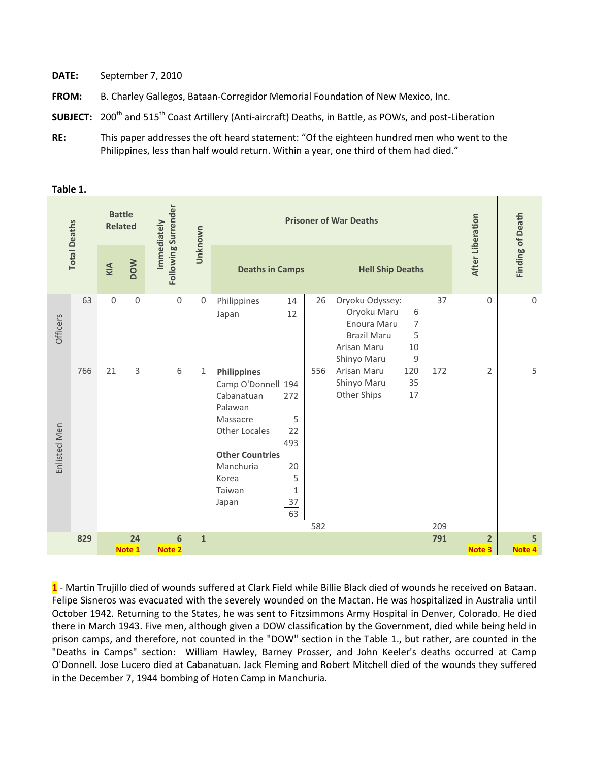- **DATE:** September 7, 2010
- **FROM:** B. Charley Gallegos, Bataan-Corregidor Memorial Foundation of New Mexico, Inc.
- **SUBJECT:** 200<sup>th</sup> and 515<sup>th</sup> Coast Artillery (Anti-aircraft) Deaths, in Battle, as POWs, and post-Liberation
- **RE:** This paper addresses the oft heard statement: "Of the eighteen hundred men who went to the Philippines, less than half would return. Within a year, one third of them had died."

| <b>Total Deaths</b> |     | <b>Battle</b><br><b>Related</b> |                | Following Surrender<br>Immediately | Unknown      | <b>Prisoner of War Deaths</b>                                                                                                                                     |                                                              |            |                                                                                                   |                                     |            | After Liberation | <b>Finding of Death</b> |  |
|---------------------|-----|---------------------------------|----------------|------------------------------------|--------------|-------------------------------------------------------------------------------------------------------------------------------------------------------------------|--------------------------------------------------------------|------------|---------------------------------------------------------------------------------------------------|-------------------------------------|------------|------------------|-------------------------|--|
|                     |     | KIA                             | <b>NOOD</b>    |                                    |              | <b>Deaths in Camps</b>                                                                                                                                            |                                                              |            | <b>Hell Ship Deaths</b>                                                                           |                                     |            |                  |                         |  |
| Officers            | 63  | $\Omega$                        | $\Omega$       | $\mathbf 0$                        | $\mathbf{0}$ | Philippines<br>Japan                                                                                                                                              | 14<br>12                                                     | 26         | Oryoku Odyssey:<br>Oryoku Maru<br>Enoura Maru<br><b>Brazil Maru</b><br>Arisan Maru<br>Shinyo Maru | 6<br>$\overline{7}$<br>5<br>10<br>9 | 37         | $\Omega$         | $\mathbf{0}$            |  |
| Enlisted Men        | 766 | 21                              | $\overline{3}$ | 6                                  | $\mathbf{1}$ | <b>Philippines</b><br>Camp O'Donnell 194<br>Cabanatuan<br>Palawan<br>Massacre<br>Other Locales<br><b>Other Countries</b><br>Manchuria<br>Korea<br>Taiwan<br>Japan | 272<br>5<br>22<br>493<br>20<br>5<br>$\mathbf{1}$<br>37<br>63 | 556<br>582 | Arisan Maru<br>Shinyo Maru<br>Other Ships                                                         | 120<br>35<br>17                     | 172<br>209 | $\overline{2}$   | 5                       |  |
| 829                 |     |                                 | 24             | 6                                  | $\mathbf{1}$ |                                                                                                                                                                   |                                                              |            |                                                                                                   |                                     | 791        | $\overline{2}$   | 5                       |  |
|                     |     | Note 1                          |                | Note 2                             |              |                                                                                                                                                                   |                                                              |            |                                                                                                   |                                     |            | Note 3           | Note 4                  |  |

**Table 1.**

**1** - Martin Trujillo died of wounds suffered at Clark Field while Billie Black died of wounds he received on Bataan. Felipe Sisneros was evacuated with the severely wounded on the Mactan. He was hospitalized in Australia until October 1942. Returning to the States, he was sent to Fitzsimmons Army Hospital in Denver, Colorado. He died there in March 1943. Five men, although given a DOW classification by the Government, died while being held in prison camps, and therefore, not counted in the "DOW" section in the Table 1., but rather, are counted in the "Deaths in Camps" section: William Hawley, Barney Prosser, and John Keeler's deaths occurred at Camp O'Donnell. Jose Lucero died at Cabanatuan. Jack Fleming and Robert Mitchell died of the wounds they suffered in the December 7, 1944 bombing of Hoten Camp in Manchuria.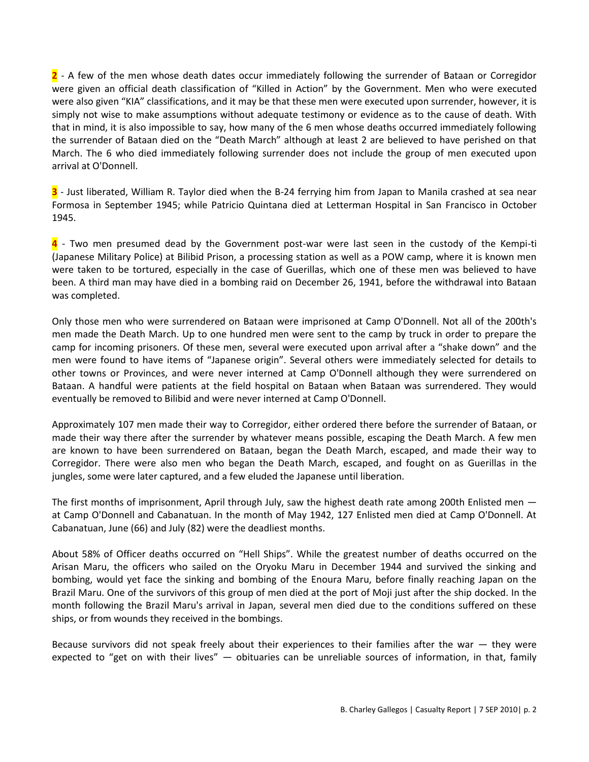**2** - A few of the men whose death dates occur immediately following the surrender of Bataan or Corregidor were given an official death classification of "Killed in Action" by the Government. Men who were executed were also given "KIA" classifications, and it may be that these men were executed upon surrender, however, it is simply not wise to make assumptions without adequate testimony or evidence as to the cause of death. With that in mind, it is also impossible to say, how many of the 6 men whose deaths occurred immediately following the surrender of Bataan died on the "Death March" although at least 2 are believed to have perished on that March. The 6 who died immediately following surrender does not include the group of men executed upon arrival at O'Donnell.

**3** - Just liberated, William R. Taylor died when the B-24 ferrying him from Japan to Manila crashed at sea near Formosa in September 1945; while Patricio Quintana died at Letterman Hospital in San Francisco in October 1945.

**4** - Two men presumed dead by the Government post-war were last seen in the custody of the Kempi-ti (Japanese Military Police) at Bilibid Prison, a processing station as well as a POW camp, where it is known men were taken to be tortured, especially in the case of Guerillas, which one of these men was believed to have been. A third man may have died in a bombing raid on December 26, 1941, before the withdrawal into Bataan was completed.

Only those men who were surrendered on Bataan were imprisoned at Camp O'Donnell. Not all of the 200th's men made the Death March. Up to one hundred men were sent to the camp by truck in order to prepare the camp for incoming prisoners. Of these men, several were executed upon arrival after a "shake down" and the men were found to have items of "Japanese origin". Several others were immediately selected for details to other towns or Provinces, and were never interned at Camp O'Donnell although they were surrendered on Bataan. A handful were patients at the field hospital on Bataan when Bataan was surrendered. They would eventually be removed to Bilibid and were never interned at Camp O'Donnell.

Approximately 107 men made their way to Corregidor, either ordered there before the surrender of Bataan, or made their way there after the surrender by whatever means possible, escaping the Death March. A few men are known to have been surrendered on Bataan, began the Death March, escaped, and made their way to Corregidor. There were also men who began the Death March, escaped, and fought on as Guerillas in the jungles, some were later captured, and a few eluded the Japanese until liberation.

The first months of imprisonment, April through July, saw the highest death rate among 200th Enlisted men at Camp O'Donnell and Cabanatuan. In the month of May 1942, 127 Enlisted men died at Camp O'Donnell. At Cabanatuan, June (66) and July (82) were the deadliest months.

About 58% of Officer deaths occurred on "Hell Ships". While the greatest number of deaths occurred on the Arisan Maru, the officers who sailed on the Oryoku Maru in December 1944 and survived the sinking and bombing, would yet face the sinking and bombing of the Enoura Maru, before finally reaching Japan on the Brazil Maru. One of the survivors of this group of men died at the port of Moji just after the ship docked. In the month following the Brazil Maru's arrival in Japan, several men died due to the conditions suffered on these ships, or from wounds they received in the bombings.

Because survivors did not speak freely about their experiences to their families after the war — they were expected to "get on with their lives" — obituaries can be unreliable sources of information, in that, family